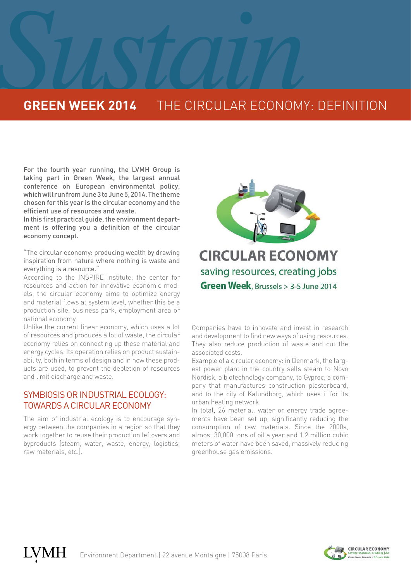## **SUSTAINABLE CONSTRAINS THE CIRCULAR ECONOMY GREEN WEEK 2014** THE CIRCULAR ECONOMY: DEFINITION

For the fourth year running, the LVMH Group is taking part in Green Week, the largest annual conference on European environmental policy, which will run from June 3 to June 5, 2014. The theme chosen for this year is the circular economy and the efficient use of resources and waste.

In this first practical guide, the environment department is offering you a definition of the circular economy concept.

"The circular economy: producing wealth by drawing inspiration from nature where nothing is waste and everything is a resource."

According to the INSPIRE institute, the center for resources and action for innovative economic models, the circular economy aims to optimize energy and material flows at system level, whether this be a production site, business park, employment area or national economy.

Unlike the current linear economy, which uses a lot of resources and produces a lot of waste, the circular economy relies on connecting up these material and energy cycles. Its operation relies on product sustainability, both in terms of design and in how these products are used, to prevent the depletion of resources and limit discharge and waste.

## SYMBIOSIS OR INDUSTRIAL ECOLOGY: TOWARDS A CIRCULAR ECONOMY

The aim of industrial ecology is to encourage synergy between the companies in a region so that they work together to reuse their production leftovers and byproducts (steam, water, waste, energy, logistics, raw materials, etc.).



Companies have to innovate and invest in research and development to find new ways of using resources. They also reduce production of waste and cut the associated costs.

Example of a circular economy: in Denmark, the largest power plant in the country sells steam to Novo Nordisk, a biotechnology company, to Gyproc, a company that manufactures construction plasterboard, and to the city of Kalundborg, which uses it for its urban heating network.

In total, 26 material, water or energy trade agreements have been set up, significantly reducing the consumption of raw materials. Since the 2000s, almost 30,000 tons of oil a year and 1.2 million cubic meters of water have been saved, massively reducing greenhouse gas emissions.